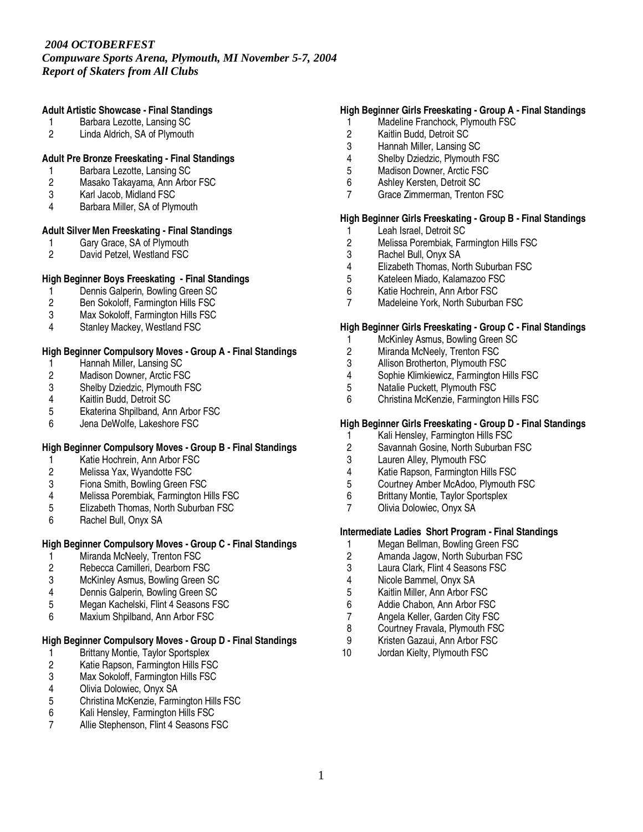*Compuware Sports Arena, Plymouth, MI November 5-7, 2004 Report of Skaters from All Clubs*

# **Adult Artistic Showcase - Final Standings**

- 1 Barbara Lezotte, Lansing SC
- 2 Linda Aldrich, SA of Plymouth

# **Adult Pre Bronze Freeskating - Final Standings**

- 1 Barbara Lezotte, Lansing SC<br>2 Masako Takayama, Ann Arbo
- Masako Takayama, Ann Arbor FSC
- 3 Karl Jacob, Midland FSC
- 4 Barbara Miller, SA of Plymouth

# **Adult Silver Men Freeskating - Final Standings**

- 1 Gary Grace, SA of Plymouth<br>2 David Petzel, Westland FSC
- David Petzel, Westland FSC

# **High Beginner Boys Freeskating - Final Standings**

- 1 Dennis Galperin, Bowling Green SC<br>2 Ben Sokoloff, Farmington Hills FSC
- 2 Ben Sokoloff, Farmington Hills FSC
- 3 Max Sokoloff, Farmington Hills FSC
- 4 Stanley Mackey, Westland FSC

# **High Beginner Compulsory Moves - Group A - Final Standings**

- 1 Hannah Miller, Lansing SC<br>2 Madison Downer, Arctic FS
- 2 Madison Downer, Arctic FSC<br>3 Shelby Dziedzic, Plymouth FS
- 3 Shelby Dziedzic, Plymouth FSC<br>4 Kaitlin Budd, Detroit SC
- 4 Kaitlin Budd, Detroit SC
- 5 Ekaterina Shpilband, Ann Arbor FSC<br>6 Jena DeWolfe. Lakeshore FSC
- Jena DeWolfe, Lakeshore FSC

# **High Beginner Compulsory Moves - Group B - Final Standings**

- 1 Katie Hochrein, Ann Arbor FSC<br>2 Melissa Yax, Wyandotte FSC
- Melissa Yax, Wyandotte FSC
- 3 Fiona Smith, Bowling Green FSC
- 4 Melissa Porembiak, Farmington Hills FSC<br>5 Elizabeth Thomas. North Suburban FSC
- 5 Elizabeth Thomas, North Suburban FSC<br>6 Rachel Bull, Onyx SA
- 6 Rachel Bull, Onyx SA

# **High Beginner Compulsory Moves - Group C - Final Standings**

- 1 Miranda McNeely, Trenton FSC<br>2 Rebecca Camilleri. Dearborn FS
- 2 Rebecca Camilleri, Dearborn FSC
- 3 McKinley Asmus, Bowling Green SC
- 
- 4 Dennis Galperin, Bowling Green SC<br>5 Megan Kachelski, Flint 4 Seasons F 5 Megan Kachelski, Flint 4 Seasons FSC
- 6 Maxium Shpilband, Ann Arbor FSC

# **High Beginner Compulsory Moves - Group D - Final Standings**

- 1 Brittany Montie, Taylor Sportsplex<br>2 Katie Rapson, Farmington Hills FS
- 2 Katie Rapson, Farmington Hills FSC<br>3 Max Sokoloff, Farmington Hills FSC
- 3 Max Sokoloff, Farmington Hills FSC<br>4 Olivia Dolowiec, Onvx SA
- 4 Olivia Dolowiec, Onyx SA<br>5 Christina McKenzie, Farmi
- 5 Christina McKenzie, Farmington Hills FSC<br>6 Kali Henslev. Farmington Hills FSC
- 6 Kali Hensley, Farmington Hills FSC
- 7 Allie Stephenson, Flint 4 Seasons FSC

# **High Beginner Girls Freeskating - Group A - Final Standings**

- 1 Madeline Franchock, Plymouth FSC
- 2 Kaitlin Budd, Detroit SC<br>3 Hannah Miller. Lansing
- 3 Hannah Miller, Lansing SC
- 4 Shelby Dziedzic, Plymouth FSC
- 5 Madison Downer, Arctic FSC<br>6 Ashlev Kersten, Detroit SC
- 6 Ashley Kersten, Detroit SC
- 7 Grace Zimmerman, Trenton FSC

# **High Beginner Girls Freeskating - Group B - Final Standings**

- 1 Leah Israel, Detroit SC<br>2 Melissa Porembiak, Far
- 2 Melissa Porembiak, Farmington Hills FSC<br>3 Rachel Bull, Onyx SA
- 3 Rachel Bull, Onyx SA<br>4 Elizabeth Thomas. No
- 4 Elizabeth Thomas, North Suburban FSC<br>5 Kateleen Miado. Kalamazoo FSC
- 5 Kateleen Miado, Kalamazoo FSC
- 6 Katie Hochrein, Ann Arbor FSC<br>7 Madeleine York, North Suburbai
- Madeleine York, North Suburban FSC

# **High Beginner Girls Freeskating - Group C - Final Standings**

- 1 McKinley Asmus, Bowling Green SC
- 2 Miranda McNeely, Trenton FSC
- 3 Allison Brotherton, Plymouth FSC<br>4 Sophie Klimkiewicz, Farmington H
- 4 Sophie Klimkiewicz, Farmington Hills FSC<br>5 Natalie Puckett, Plymouth FSC
- 5 Natalie Puckett, Plymouth FSC
- 6 Christina McKenzie, Farmington Hills FSC

# **High Beginner Girls Freeskating - Group D - Final Standings**

- 1 Kali Hensley, Farmington Hills FSC
- 2 Savannah Gosine, North Suburban FSC<br>3 Lauren Allev. Plymouth FSC
- Lauren Alley, Plymouth FSC
- 4 Katie Rapson, Farmington Hills FSC
- 5 Courtney Amber McAdoo, Plymouth FSC
- 6 Brittany Montie, Taylor Sportsplex<br>7 Olivia Dolowiec Onyx SA
- 7 Olivia Dolowiec, Onyx SA

# **Intermediate Ladies Short Program - Final Standings**

- 1 Megan Bellman, Bowling Green FSC<br>2 Amanda Jagow. North Suburban FSC
- 2 Amanda Jagow, North Suburban FSC
- 3 Laura Clark, Flint 4 Seasons FSC
- 4 Nicole Bammel, Onyx SA<br>5 Kaitlin Miller, Ann Arbor F
- 5 Kaitlin Miller, Ann Arbor FSC
- 6 Addie Chabon, Ann Arbor FSC
- 7 Angela Keller, Garden City FSC<br>8 Courtney Fravala, Plymouth FSC
- 8 Courtney Fravala, Plymouth FSC
- 9 Kristen Gazaui, Ann Arbor FSC
- 10 Jordan Kielty, Plymouth FSC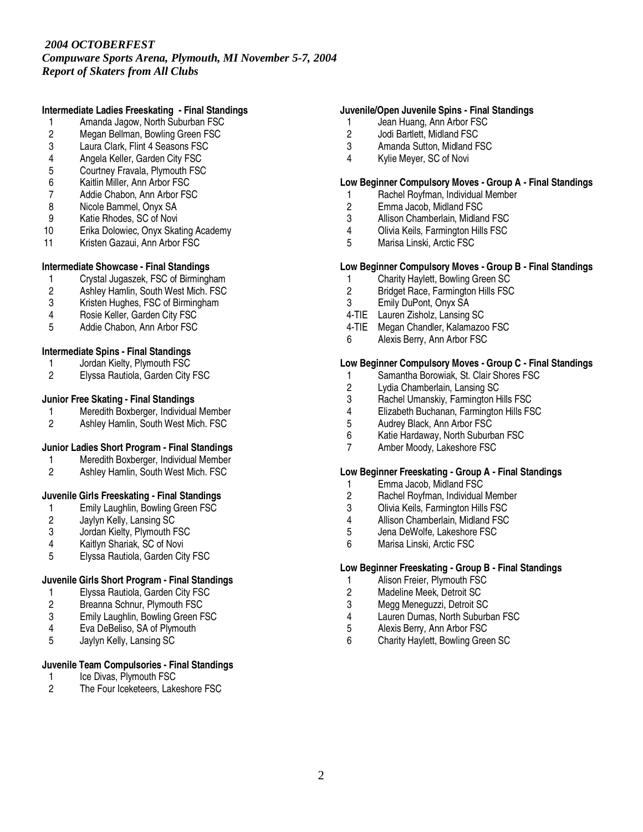*Compuware Sports Arena, Plymouth, MI November 5-7, 2004 Report of Skaters from All Clubs*

# **Intermediate Ladies Freeskating - Final Standings**

- 1 Amanda Jagow, North Suburban FSC
- 2 Megan Bellman, Bowling Green FSC<br>3 Laura Clark. Flint 4 Seasons FSC
- Laura Clark, Flint 4 Seasons FSC
- 4 Angela Keller, Garden City FSC
- 5 Courtney Fravala, Plymouth FSC<br>6 Kaitlin Miller. Ann Arbor FSC
- 6 Kaitlin Miller, Ann Arbor FSC
- 7 Addie Chabon, Ann Arbor FSC
- 8 Nicole Bammel, Onyx SA
- 9 Katie Rhodes, SC of Novi
- 10 Erika Dolowiec, Onyx Skating Academy
- 11 Kristen Gazaui, Ann Arbor FSC

# **Intermediate Showcase - Final Standings**

- 
- 1 Crystal Jugaszek, FSC of Birmingham<br>2 Ashlev Hamlin. South West Mich. FSC
- 2 Ashley Hamlin, South West Mich. FSC<br>3 Kristen Hughes. FSC of Birmingham Kristen Hughes, FSC of Birmingham
- 4 Rosie Keller, Garden City FSC
- 5 Addie Chabon, Ann Arbor FSC

# **Intermediate Spins - Final Standings**

- 1 Jordan Kielty, Plymouth FSC<br>2 Elvssa Rautiola, Garden City
- 2 Elyssa Rautiola, Garden City FSC

# **Junior Free Skating - Final Standings**

- 1 Meredith Boxberger, Individual Member<br>2 Ashlev Hamlin. South West Mich. FSC
- Ashley Hamlin, South West Mich. FSC

# **Junior Ladies Short Program - Final Standings**

- 1 Meredith Boxberger, Individual Member<br>2 Ashley Hamlin, South West Mich. FSC
- 2 Ashley Hamlin, South West Mich. FSC

# **Juvenile Girls Freeskating - Final Standings**

- 1 Emily Laughlin, Bowling Green FSC<br>2 Jaylyn Kelly, Lansing SC
- 
- 2 Jaylyn Kelly, Lansing SC<br>3 Jordan Kielty, Plymouth F 3 Jordan Kielty, Plymouth FSC<br>4 Kaitlyn Shariak. SC of Novi
- 4 Kaitlyn Shariak, SC of Novi
- 5 Elyssa Rautiola, Garden City FSC

# **Juvenile Girls Short Program - Final Standings**

- 
- 1 Elyssa Rautiola, Garden City FSC<br>2 Breanna Schnur, Plymouth FSC Breanna Schnur, Plymouth FSC
- 3 Emily Laughlin, Bowling Green FSC<br>4 Eva DeBeliso. SA of Plymouth
- Eva DeBeliso, SA of Plymouth
- 5 Jaylyn Kelly, Lansing SC

# **Juvenile Team Compulsories - Final Standings**

1 Ice Divas, Plymouth FSC

# 2 The Four Iceketeers, Lakeshore FSC

# **Juvenile/Open Juvenile Spins - Final Standings**

- 1 Jean Huang, Ann Arbor FSC
- 2 Jodi Bartlett, Midland FSC<br>3 Amanda Sutton. Midland F
- 3 Amanda Sutton, Midland FSC
- 4 Kylie Meyer, SC of Novi

# **Low Beginner Compulsory Moves - Group A - Final Standings**

- 1 Rachel Royfman, Individual Member
- 2 Emma Jacob, Midland FSC
- 3 Allison Chamberlain, Midland FSC<br>4 Olivia Keils. Farmington Hills FSC
- 4 Olivia Keils, Farmington Hills FSC<br>5 Marisa Linski, Arctic FSC
- Marisa Linski, Arctic FSC

# **Low Beginner Compulsory Moves - Group B - Final Standings**

- 1 Charity Haylett, Bowling Green SC<br>2 Bridget Race. Farmington Hills FSC
- 2 Bridget Race, Farmington Hills FSC<br>3 Emily DuPont, Onyx SA
- 3 Emily DuPont, Onyx SA
- 4-TIE Lauren Zisholz, Lansing SC
- 4-TIE Megan Chandler, Kalamazoo FSC
- 6 Alexis Berry, Ann Arbor FSC

# **Low Beginner Compulsory Moves - Group C - Final Standings**

- 1 Samantha Borowiak, St. Clair Shores FSC<br>2 Lydia Chamberlain, Lansing SC
- 2 Lydia Chamberlain, Lansing SC<br>3 Rachel Umanskiy, Farmington H
- 
- 3 Rachel Umanskiy, Farmington Hills FSC 4 Elizabeth Buchanan, Farmington Hills FSC<br>5 Audrey Black. Ann Arbor FSC
- 5 Audrey Black, Ann Arbor FSC<br>6 Katie Hardaway. North Suburb
- Katie Hardaway, North Suburban FSC
- 7 Amber Moody, Lakeshore FSC

# **Low Beginner Freeskating - Group A - Final Standings**

- 1 Emma Jacob, Midland FSC
- 2 Rachel Royfman, Individual Member<br>3 Olivia Keils. Farmington Hills FSC
- 3 Olivia Keils, Farmington Hills FSC<br>4 Allison Chamberlain, Midland FSC
- 4 Allison Chamberlain, Midland FSC<br>5 Jena DeWolfe. Lakeshore FSC
- 5 Jena DeWolfe, Lakeshore FSC<br>6 Marisa Linski, Arctic FSC
- Marisa Linski, Arctic FSC

# **Low Beginner Freeskating - Group B - Final Standings**

- 1 Alison Freier, Plymouth FSC<br>2 Madeline Meek, Detroit SC
- 2 Madeline Meek, Detroit SC<br>3 Mega Meneguzzi, Detroit SQ
- 3 Megg Meneguzzi, Detroit SC
- 4 Lauren Dumas, North Suburban FSC<br>5 Alexis Berry. Ann Arbor FSC
- 5 Alexis Berry, Ann Arbor FSC<br>6 Charity Havlett, Bowling Gree
- 6 Charity Haylett, Bowling Green SC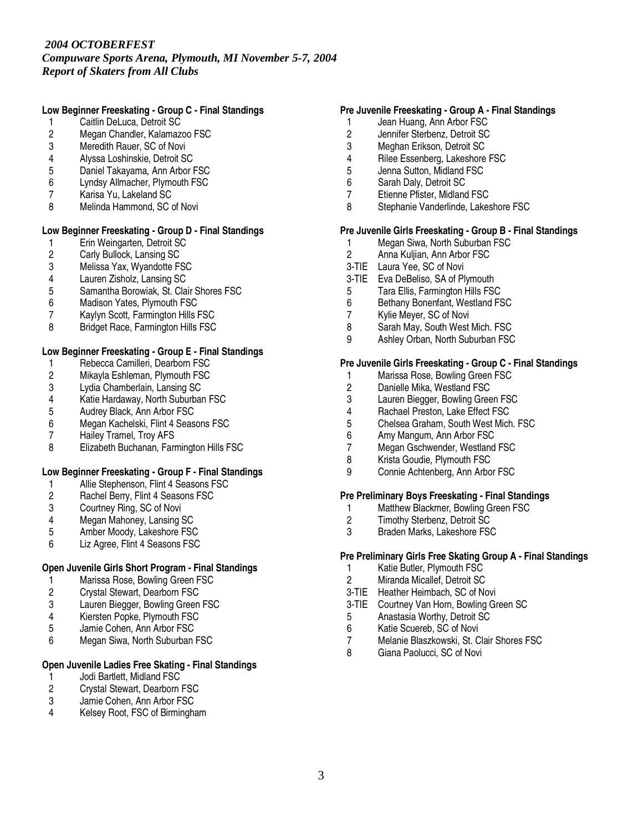*Compuware Sports Arena, Plymouth, MI November 5-7, 2004 Report of Skaters from All Clubs*

# **Low Beginner Freeskating - Group C - Final Standings**

- 1 Caitlin DeLuca, Detroit SC
- 2 Megan Chandler, Kalamazoo FSC<br>3 Meredith Rauer. SC of Novi
- Meredith Rauer, SC of Novi
- 4 Alyssa Loshinskie, Detroit SC
- 5 Daniel Takayama, Ann Arbor FSC<br>6 Lyndsy Allmacher, Plymouth FSC
- Lyndsy Allmacher, Plymouth FSC
- 7 Karisa Yu, Lakeland SC
- 8 Melinda Hammond, SC of Novi

# **Low Beginner Freeskating - Group D - Final Standings**

- 1 Erin Weingarten, Detroit SC<br>2 Carly Bullock, Lansing SC
- 2 Carly Bullock, Lansing SC<br>3 Melissa Yax. Wyandotte F.
- 3 Melissa Yax, Wyandotte FSC
- 4 Lauren Zisholz, Lansing SC
- 5 Samantha Borowiak, St. Clair Shores FSC<br>6 Madison Yates. Plymouth FSC
- 6 Madison Yates, Plymouth FSC
- 7 Kaylyn Scott, Farmington Hills FSC
- 8 Bridget Race, Farmington Hills FSC

# **Low Beginner Freeskating - Group E - Final Standings**

- 1 Rebecca Camilleri, Dearborn FSC<br>2 Mikayla Eshleman, Plymouth FSC
- 2 Mikayla Eshleman, Plymouth FSC<br>3 Lydia Chamberlain, Lansing SC
- 3 Lydia Chamberlain, Lansing SC<br>4 Katie Hardaway, North Suburbar
- 4 Katie Hardaway, North Suburban FSC<br>5 Audrey Black, Ann Arbor FSC
- 5 Audrey Black, Ann Arbor FSC<br>6 Megan Kachelski, Flint 4 Seas
- 6 Megan Kachelski, Flint 4 Seasons FSC<br>7 Hailev Tramel. Trov AFS
- Hailey Tramel, Troy AFS
- 8 Elizabeth Buchanan, Farmington Hills FSC

# **Low Beginner Freeskating - Group F - Final Standings**

- 1 Allie Stephenson, Flint 4 Seasons FSC<br>2 Rachel Berry, Flint 4 Seasons FSC
- 2 Rachel Berry, Flint 4 Seasons FSC<br>3 Courtney Ring, SC of Novi
- 3 Courtney Ring, SC of Novi<br>4 Megan Mahoney, Lansing
- 4 Megan Mahoney, Lansing SC<br>5 Amber Moody, Lakeshore FSC
- 5 Amber Moody, Lakeshore FSC<br>6 Liz Agree. Flint 4 Seasons FSC
- Liz Agree, Flint 4 Seasons FSC

# **Open Juvenile Girls Short Program - Final Standings**

- 1 Marissa Rose, Bowling Green FSC
- 2 Crystal Stewart, Dearborn FSC<br>3 Lauren Biegger, Bowling Green
- Lauren Biegger, Bowling Green FSC
- 4 Kiersten Popke, Plymouth FSC<br>5 Jamie Cohen, Ann Arbor FSC
- 5 Jamie Cohen, Ann Arbor FSC
- 6 Megan Siwa, North Suburban FSC

# **Open Juvenile Ladies Free Skating - Final Standings**

- 1 Jodi Bartlett, Midland FSC<br>2 Crystal Stewart, Dearborn
- 2 Crystal Stewart, Dearborn FSC<br>3 Jamie Cohen. Ann Arbor FSC
- 3 Jamie Cohen, Ann Arbor FSC<br>4 Kelsey Root FSC of Birmingha
- Kelsey Root, FSC of Birmingham

# **Pre Juvenile Freeskating - Group A - Final Standings**

- 1 Jean Huang, Ann Arbor FSC
- 2 Jennifer Sterbenz, Detroit SC<br>3 Meghan Erikson, Detroit SC
- 3 Meghan Erikson, Detroit SC
- 4 Rilee Essenberg, Lakeshore FSC<br>5 Jenna Sutton, Midland FSC
- 5 Jenna Sutton, Midland FSC<br>6 Sarah Dalv. Detroit SC
- Sarah Daly, Detroit SC
- 7 Etienne Pfister, Midland FSC
- 8 Stephanie Vanderlinde, Lakeshore FSC

# **Pre Juvenile Girls Freeskating - Group B - Final Standings**

- 1 Megan Siwa, North Suburban FSC<br>2 Anna Kuliian. Ann Arbor FSC
- Anna Kuljian, Ann Arbor FSC
- 3-TIE Laura Yee, SC of Novi
- 3-TIE Eva DeBeliso, SA of Plymouth
- 5 Tara Ellis, Farmington Hills FSC<br>6 Bethany Bonenfant, Westland FS
- 6 Bethany Bonenfant, Westland FSC<br>7 Kylie Mever, SC of Novi
- Kylie Meyer, SC of Novi
- 8 Sarah May, South West Mich. FSC
- 9 Ashley Orban, North Suburban FSC

#### **Pre Juvenile Girls Freeskating - Group C - Final Standings**

- 1 Marissa Rose, Bowling Green FSC<br>2 Danielle Mika, Westland FSC
	- 2 Danielle Mika, Westland FSC<br>3 Lauren Biegger, Bowling Gree
- 3 Lauren Biegger, Bowling Green FSC<br>4 Rachael Preston. Lake Effect FSC
- 4 Rachael Preston, Lake Effect FSC<br>5 Chelsea Graham. South West Mich
- 5 Chelsea Graham, South West Mich. FSC<br>6 Amy Mangum. Ann Arbor FSC
- 6 Amy Mangum, Ann Arbor FSC<br>7 Megan Gschwender, Westland
- Megan Gschwender, Westland FSC
- 8 Krista Goudie, Plymouth FSC
- 9 Connie Achtenberg, Ann Arbor FSC

### **Pre Preliminary Boys Freeskating - Final Standings**

- 1 Matthew Blackmer, Bowling Green FSC<br>2 Timothy Sterbenz, Detroit SC
- 2 Timothy Sterbenz, Detroit SC<br>3 Braden Marks. Lakeshore FS
- Braden Marks, Lakeshore FSC

# **Pre Preliminary Girls Free Skating Group A - Final Standings**

- 1 Katie Butler, Plymouth FSC
- 2 Miranda Micallef, Detroit SC
- 3-TIE Heather Heimbach, SC of Novi
- 3-TIE Courtney Van Horn, Bowling Green SC
- 5 Anastasia Worthy, Detroit SC<br>6 Katie Scuereb, SC of Novi
- Katie Scuereb, SC of Novi
- 7 Melanie Blaszkowski, St. Clair Shores FSC
- 8 Giana Paolucci, SC of Novi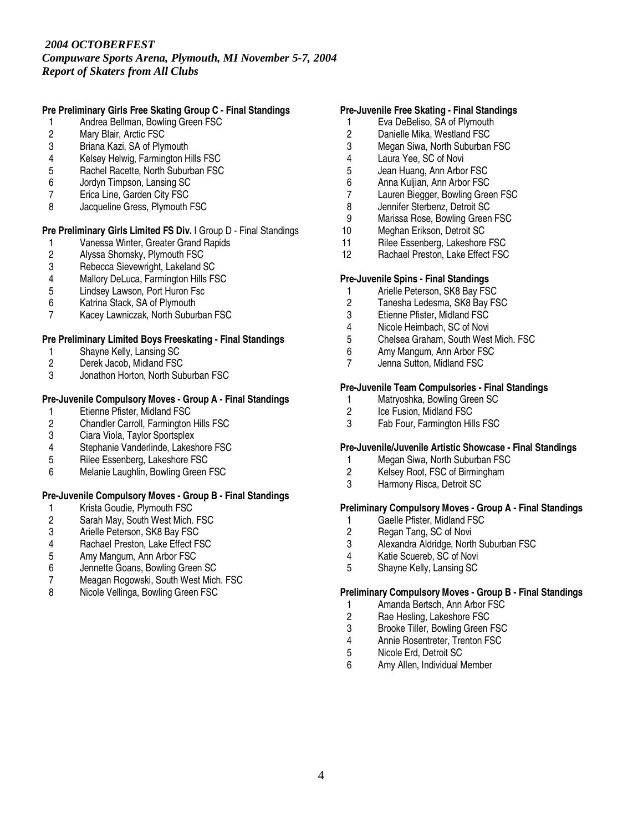*Compuware Sports Arena, Plymouth, MI November 5-7, 2004 Report of Skaters from All Clubs*

# **Pre Preliminary Girls Free Skating Group C - Final Standings**

- 1 Andrea Bellman, Bowling Green FSC
- 2 Mary Blair, Arctic FSC<br>3 Briana Kazi. SA of Plvr
- Briana Kazi, SA of Plymouth
- 4 Kelsey Helwig, Farmington Hills FSC
- 5 Rachel Racette, North Suburban FSC<br>6 Jordyn Timpson. Lansing SC
- 6 Jordyn Timpson, Lansing SC
- 7 Erica Line, Garden City FSC
- 8 Jacqueline Gress, Plymouth FSC

# **Pre Preliminary Girls Limited FS Div.** I Group D - Final Standings

- 1 Vanessa Winter, Greater Grand Rapids<br>2 Alyssa Shomsky, Plymouth FSC
- 2 Alyssa Shomsky, Plymouth FSC<br>3 Rebecca Sievewright, Lakeland 9
- 3 Rebecca Sievewright, Lakeland SC<br>4 Mallory DeLuca. Farmington Hills F.
- 4 Mallory DeLuca, Farmington Hills FSC<br>5 Lindsey Lawson. Port Huron Fsc
- 5 Lindsey Lawson, Port Huron Fsc<br>6 Katrina Stack. SA of Plymouth
- 6 Katrina Stack, SA of Plymouth
- Kacey Lawniczak, North Suburban FSC

#### **Pre Preliminary Limited Boys Freeskating - Final Standings**

- 
- 1 Shayne Kelly, Lansing SC<br>2 Derek Jacob, Midland FSC 2 Derek Jacob, Midland FSC<br>3 Jonathon Horton, North Sub
- 3 Jonathon Horton, North Suburban FSC

#### **Pre-Juvenile Compulsory Moves - Group A - Final Standings**

- 1 Etienne Pfister, Midland FSC<br>2 Chandler Carroll. Farmington
- 2 Chandler Carroll, Farmington Hills FSC<br>3 Ciara Viola. Taylor Sportsplex
- Ciara Viola, Taylor Sportsplex
- 4 Stephanie Vanderlinde, Lakeshore FSC
- 5 Rilee Essenberg, Lakeshore FSC
- 6 Melanie Laughlin, Bowling Green FSC

# **Pre-Juvenile Compulsory Moves - Group B - Final Standings**

- 1 Krista Goudie, Plymouth FSC<br>2 Sarah May, South West Mich.
- 2 Sarah May, South West Mich. FSC<br>3 Arielle Peterson, SK8 Bay FSC
- 3 Arielle Peterson, SK8 Bay FSC<br>4 Rachael Preston, Lake Effect F9
- 4 Rachael Preston, Lake Effect FSC<br>5 Amy Mangum. Ann Arbor FSC
- 5 Amy Mangum, Ann Arbor FSC
- 6 Jennette Goans, Bowling Green SC
- 7 Meagan Rogowski, South West Mich. FSC<br>8 Nicole Vellinga. Bowling Green FSC
- Nicole Vellinga, Bowling Green FSC

# **Pre-Juvenile Free Skating - Final Standings**

- 1 Eva DeBeliso, SA of Plymouth
- 2 Danielle Mika, Westland FSC<br>3 Megan Siwa, North Suburban
- Megan Siwa, North Suburban FSC
- 4 Laura Yee, SC of Novi
- 5 Jean Huang, Ann Arbor FSC<br>6 Anna Kuliian. Ann Arbor FSC
- Anna Kuljian, Ann Arbor FSC
- 7 Lauren Biegger, Bowling Green FSC
- 8 Jennifer Sterbenz, Detroit SC
- 9 Marissa Rose, Bowling Green FSC<br>10 Meghan Erikson, Detroit SC
- Meghan Erikson, Detroit SC
- 11 Rilee Essenberg, Lakeshore FSC
- 12 Rachael Preston, Lake Effect FSC

# **Pre-Juvenile Spins - Final Standings**

- 1 Arielle Peterson, SK8 Bay FSC<br>2 Tanesha Ledesma, SK8 Bay FS
- Tanesha Ledesma, SK8 Bay FSC
- 3 Etienne Pfister, Midland FSC
- 4 Nicole Heimbach, SC of Novi
- 5 Chelsea Graham, South West Mich. FSC
- 6 Amy Mangum, Ann Arbor FSC
- 7 Jenna Sutton, Midland FSC

# **Pre-Juvenile Team Compulsories - Final Standings**

- 1 Matryoshka, Bowling Green SC<br>2 Ice Fusion. Midland FSC
- 2 Ice Fusion, Midland FSC<br>3 Fab Four. Farmington Hil
- Fab Four, Farmington Hills FSC

#### **Pre-Juvenile/Juvenile Artistic Showcase - Final Standings**

- 1 Megan Siwa, North Suburban FSC
- 2 Kelsey Root, FSC of Birmingham
- 3 Harmony Risca, Detroit SC

### **Preliminary Compulsory Moves - Group A - Final Standings**

- 1 Gaelle Pfister, Midland FSC<br>2 Regan Tang, SC of Novi
- 2 Regan Tang, SC of Novi<br>3 Alexandra Aldridge. North
- 3 Alexandra Aldridge, North Suburban FSC<br>4 Katie Scuereb. SC of Novi
- Katie Scuereb, SC of Novi
- 5 Shayne Kelly, Lansing SC

#### **Preliminary Compulsory Moves - Group B - Final Standings**

- 1 Amanda Bertsch, Ann Arbor FSC
- 2 Rae Hesling, Lakeshore FSC<br>3 Brooke Tiller. Bowling Green
- 3 Brooke Tiller, Bowling Green FSC<br>4 Annie Rosentreter, Trenton FSC
- 4 Annie Rosentreter, Trenton FSC
- 5 Nicole Erd, Detroit SC<br>6 Amy Allen Individual N
- Amy Allen, Individual Member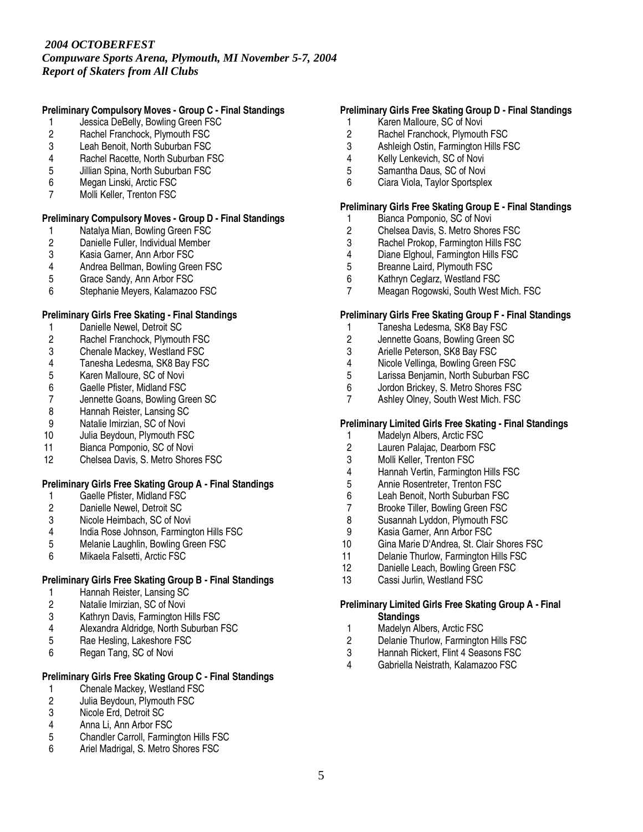*Compuware Sports Arena, Plymouth, MI November 5-7, 2004 Report of Skaters from All Clubs*

# **Preliminary Compulsory Moves - Group C - Final Standings**

- 1 Jessica DeBelly, Bowling Green FSC
- 2 Rachel Franchock, Plymouth FSC<br>3 Leah Benoit. North Suburban FSC
- Leah Benoit, North Suburban FSC
- 4 Rachel Racette, North Suburban FSC
- 5 Jillian Spina, North Suburban FSC<br>6 Megan Linski, Arctic FSC
- Megan Linski, Arctic FSC
- 7 Molli Keller, Trenton FSC

#### **Preliminary Compulsory Moves - Group D - Final Standings**

- 1 Natalya Mian, Bowling Green FSC<br>2 Danielle Fuller, Individual Member
- 2 Danielle Fuller, Individual Member<br>3 Kasia Garner, Ann Arbor FSC
- 3 Kasia Garner, Ann Arbor FSC<br>4 Andrea Bellman. Bowling Gree
- 4 Andrea Bellman, Bowling Green FSC<br>5 Grace Sandy, Ann Arbor FSC
- 5 Grace Sandy, Ann Arbor FSC
- 6 Stephanie Meyers, Kalamazoo FSC

# **Preliminary Girls Free Skating - Final Standings**

- 1 Danielle Newel, Detroit SC
- 2 Rachel Franchock, Plymouth FSC<br>3 Chenale Mackey, Westland FSC
- 3 Chenale Mackey, Westland FSC<br>4 Tanesha Ledesma, SK8 Bav FSC
- 4 Tanesha Ledesma, SK8 Bay FSC<br>5 Karen Malloure, SC of Novi
- 5 Karen Malloure, SC of Novi<br>6 Gaelle Pfister, Midland FSC
- 6 Gaelle Pfister, Midland FSC
- 7 Jennette Goans, Bowling Green SC<br>8 Hannah Reister. Lansing SC
- 8 Hannah Reister, Lansing SC<br>9 Natalie Imirzian. SC of Novi
- 
- 9 Natalie Imirzian, SC of Novi<br>10 Julia Bevdoun, Plymouth FS Julia Beydoun, Plymouth FSC
- 11 Bianca Pomponio, SC of Novi
- 12 Chelsea Davis, S. Metro Shores FSC

# **Preliminary Girls Free Skating Group A - Final Standings**

- 1 Gaelle Pfister, Midland FSC<br>2 Danielle Newel, Detroit SC
- 2 Danielle Newel, Detroit SC<br>3 Nicole Heimbach, SC of No
- Nicole Heimbach, SC of Novi
- 4 India Rose Johnson, Farmington Hills FSC<br>5 Melanie Laughlin. Bowling Green FSC
- 5 Melanie Laughlin, Bowling Green FSC
- 6 Mikaela Falsetti, Arctic FSC

# **Preliminary Girls Free Skating Group B - Final Standings**

- 1 Hannah Reister, Lansing SC<br>2 Natalie Imirzian, SC of Novi
- Natalie Imirzian, SC of Novi
- 3 Kathryn Davis, Farmington Hills FSC<br>4 Alexandra Aldridge. North Suburban
- 4 Alexandra Aldridge, North Suburban FSC<br>5 Rae Hesling, Lakeshore FSC
- 5 Rae Hesling, Lakeshore FSC
- 6 Regan Tang, SC of Novi

# **Preliminary Girls Free Skating Group C - Final Standings**

- 1 Chenale Mackey, Westland FSC<br>2 Julia Bevdoun. Plymouth FSC
- 2 Julia Beydoun, Plymouth FSC<br>3 Nicole Erd. Detroit SC
- Nicole Erd, Detroit SC
- 4 Anna Li, Ann Arbor FSC<br>5 Chandler Carroll. Farmin
- 5 Chandler Carroll, Farmington Hills FSC<br>6 Ariel Madrigal S. Metro Shores FSC
- Ariel Madrigal, S. Metro Shores FSC

### **Preliminary Girls Free Skating Group D - Final Standings**

- 1 Karen Malloure, SC of Novi
- 2 Rachel Franchock, Plymouth FSC<br>3 Ashleigh Ostin, Farmington Hills FS
- 3 Ashleigh Ostin, Farmington Hills FSC
- 4 Kelly Lenkevich, SC of Novi
- 5 Samantha Daus, SC of Novi
- Ciara Viola, Taylor Sportsplex

#### **Preliminary Girls Free Skating Group E - Final Standings**

- 1 Bianca Pomponio, SC of Novi
- 2 Chelsea Davis, S. Metro Shores FSC<br>3 Rachel Prokop, Farmington Hills FSC
- 3 Rachel Prokop, Farmington Hills FSC<br>4 Diane Elghoul. Farmington Hills FSC
- 4 Diane Elghoul, Farmington Hills FSC<br>5 Breanne Laird. Plymouth FSC
- 5 Breanne Laird, Plymouth FSC
- 6 Kathryn Ceglarz, Westland FSC
- 7 Meagan Rogowski, South West Mich. FSC

#### **Preliminary Girls Free Skating Group F - Final Standings**

- 1 Tanesha Ledesma, SK8 Bay FSC
- 2 Jennette Goans, Bowling Green SC
- 3 Arielle Peterson, SK8 Bay FSC
- 4 Nicole Vellinga, Bowling Green FSC<br>5 Larissa Beniamin. North Suburban F
- 5 Larissa Benjamin, North Suburban FSC<br>6 Jordon Brickev. S. Metro Shores FSC
- Jordon Brickey, S. Metro Shores FSC
- 7 Ashley Olney, South West Mich. FSC

# **Preliminary Limited Girls Free Skating - Final Standings**

- 1 Madelyn Albers, Arctic FSC
- 2 Lauren Palajac, Dearborn FSC<br>3 Molli Keller, Trenton FSC
- Molli Keller, Trenton FSC
- 4 Hannah Vertin, Farmington Hills FSC
- 5 Annie Rosentreter, Trenton FSC
- 6 Leah Benoit, North Suburban FSC
- 7 Brooke Tiller, Bowling Green FSC<br>8 Susannah Lyddon, Plymouth FSC
- 8 Susannah Lyddon, Plymouth FSC<br>9 Kasia Garner. Ann Arbor FSC
- 
- 9 Kasia Garner, Ann Arbor FSC<br>10 Gina Marie D'Andrea. St. Clair Gina Marie D'Andrea, St. Clair Shores FSC
- 11 Delanie Thurlow, Farmington Hills FSC
- 12 Danielle Leach, Bowling Green FSC
- 13 Cassi Jurlin, Westland FSC

#### **Preliminary Limited Girls Free Skating Group A - Final Standings**

- 1 Madelyn Albers, Arctic FSC
- 2 Delanie Thurlow, Farmington Hills FSC
- 3 Hannah Rickert, Flint 4 Seasons FSC<br>4 Gabriella Neistrath Kalamazoo FSC
- 4 Gabriella Neistrath, Kalamazoo FSC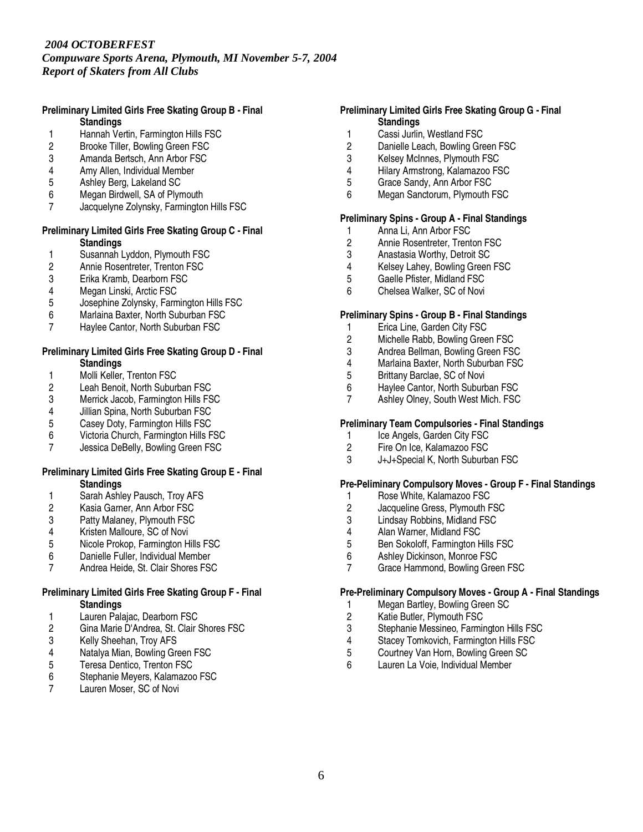*Compuware Sports Arena, Plymouth, MI November 5-7, 2004 Report of Skaters from All Clubs*

#### **Preliminary Limited Girls Free Skating Group B - Final Standings**

- 1 Hannah Vertin, Farmington Hills FSC<br>2 Brooke Tiller. Bowling Green FSC
- 2 Brooke Tiller, Bowling Green FSC
- 3 Amanda Bertsch, Ann Arbor FSC
- 4 Amy Allen, Individual Member<br>5 Ashlev Berg, Lakeland SC
- 5 Ashley Berg, Lakeland SC
- 6 Megan Birdwell, SA of Plymouth
- 7 Jacquelyne Zolynsky, Farmington Hills FSC

#### **Preliminary Limited Girls Free Skating Group C - Final Standings**

- 1 Susannah Lyddon, Plymouth FSC<br>2 Annie Rosentreter, Trenton FSC
- 2 Annie Rosentreter, Trenton FSC<br>3 Erika Kramb. Dearborn FSC
- 3 Erika Kramb, Dearborn FSC
- 
- 4 Megan Linski, Arctic FSC<br>5 Josephine Zolynsky, Farm 5 Josephine Zolynsky, Farmington Hills FSC
- 6 Marlaina Baxter, North Suburban FSC<br>7 Havlee Cantor, North Suburban FSC
- Haylee Cantor, North Suburban FSC

#### **Preliminary Limited Girls Free Skating Group D - Final Standings**

- 1 Molli Keller, Trenton FSC<br>2 Leah Benoit, North Suburl
- 2 Leah Benoit, North Suburban FSC<br>3 Merrick Jacob, Farmington Hills FS
- 3 Merrick Jacob, Farmington Hills FSC<br>4 Jillian Spina. North Suburban FSC
- 4 Jillian Spina, North Suburban FSC<br>5 Casev Dotv. Farmington Hills FSC
- 5 Casey Doty, Farmington Hills FSC<br>6 Victoria Church. Farmington Hills F
- 6 Victoria Church, Farmington Hills FSC
- 7 Jessica DeBelly, Bowling Green FSC

#### **Preliminary Limited Girls Free Skating Group E - Final Standings**

- 1 Sarah Ashley Pausch, Troy AFS<br>2 Kasia Garner, Ann Arbor FSC
- 2 Kasia Garner, Ann Arbor FSC<br>3 Patty Malaney, Plymouth FSC
- Patty Malaney, Plymouth FSC
- 4 Kristen Malloure, SC of Novi<br>5 Nicole Prokop. Farmington Hi
- 5 Nicole Prokop, Farmington Hills FSC
- 6 Danielle Fuller, Individual Member
- 7 Andrea Heide, St. Clair Shores FSC

### **Preliminary Limited Girls Free Skating Group F - Final Standings**

- 1 Lauren Palajac, Dearborn FSC<br>2 Gina Marie D'Andrea, St. Clair
- 2 Gina Marie D'Andrea, St. Clair Shores FSC<br>3 Kelly Sheehan, Troy AFS
- 3 Kelly Sheehan, Troy AFS<br>4 Natalya Mian, Bowling Gre
- 4 Natalya Mian, Bowling Green FSC<br>5 Teresa Dentico, Trenton FSC
- Teresa Dentico, Trenton FSC
- 6 Stephanie Meyers, Kalamazoo FSC
- 7 Lauren Moser, SC of Novi

### **Preliminary Limited Girls Free Skating Group G - Final Standings**

- 1 Cassi Jurlin, Westland FSC<br>2 Danielle Leach. Bowling Gre
- Danielle Leach, Bowling Green FSC
- 3 Kelsey McInnes, Plymouth FSC
- 4 Hilary Armstrong, Kalamazoo FSC<br>5 Grace Sandy, Ann Arbor FSC
- 5 Grace Sandy, Ann Arbor FSC
- 6 Megan Sanctorum, Plymouth FSC

# **Preliminary Spins - Group A - Final Standings**

- 1 Anna Li, Ann Arbor FSC<br>2 Annie Rosentreter, Trent
- 2 Annie Rosentreter, Trenton FSC<br>3 Anastasia Worthy, Detroit SC
- 3 Anastasia Worthy, Detroit SC<br>4 Kelsev Lahev. Bowling Green
- 4 Kelsey Lahey, Bowling Green FSC<br>5 Gaelle Pfister. Midland FSC
- 5 Gaelle Pfister, Midland FSC
- 6 Chelsea Walker, SC of Novi

#### **Preliminary Spins - Group B - Final Standings**

- 1 Erica Line, Garden City FSC
- 2 Michelle Rabb, Bowling Green FSC
- 3 Andrea Bellman, Bowling Green FSC
- 4 Marlaina Baxter, North Suburban FSC<br>5 Brittany Barclae, SC of Novi
- 5 Brittany Barclae, SC of Novi<br>6 Havlee Cantor, North Suburt
- Haylee Cantor, North Suburban FSC
- 7 Ashley Olney, South West Mich. FSC

# **Preliminary Team Compulsories - Final Standings**

- 1 Ice Angels, Garden City FSC
- 2 Fire On Ice, Kalamazoo FSC
- 3 J+J+Special K, North Suburban FSC

# **Pre-Peliminary Compulsory Moves - Group F - Final Standings**

- 1 Rose White, Kalamazoo FSC<br>2 Jacqueline Gress. Plymouth F
- 
- 2 Jacqueline Gress, Plymouth FSC<br>3 Lindsay Robbins, Midland FSC Lindsay Robbins, Midland FSC
- 
- 4 Alan Warner, Midland FSC<br>5 Ben Sokoloff. Farmington H 5 Ben Sokoloff, Farmington Hills FSC<br>6 Ashlev Dickinson. Monroe FSC
- Ashley Dickinson, Monroe FSC
- 7 Grace Hammond, Bowling Green FSC

# **Pre-Preliminary Compulsory Moves - Group A - Final Standings**

- 1 Megan Bartley, Bowling Green SC
- 2 Katie Butler, Plymouth FSC<br>3 Stephanie Messineo. Farmin
- 3 Stephanie Messineo, Farmington Hills FSC
- 4 Stacey Tomkovich, Farmington Hills FSC<br>5 Courtney Van Horn, Bowling Green SC
- 5 Courtney Van Horn, Bowling Green SC<br>6 Lauren La Voie Individual Member
- Lauren La Voie, Individual Member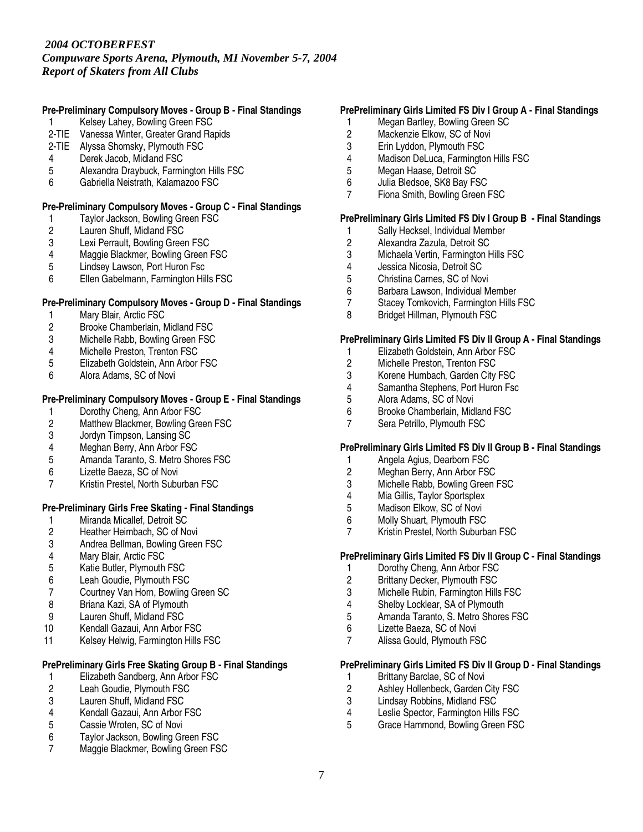*Compuware Sports Arena, Plymouth, MI November 5-7, 2004 Report of Skaters from All Clubs*

# **Pre-Preliminary Compulsory Moves - Group B - Final Standings**

- Kelsey Lahey, Bowling Green FSC
- 2-TIE Vanessa Winter, Greater Grand Rapids
- 2-TIE Alyssa Shomsky, Plymouth FSC
- 4 Derek Jacob, Midland FSC
- 5 Alexandra Draybuck, Farmington Hills FSC<br>6 Gabriella Neistrath, Kalamazoo FSC
- 6 Gabriella Neistrath, Kalamazoo FSC

# **Pre-Preliminary Compulsory Moves - Group C - Final Standings**

- 1 Taylor Jackson, Bowling Green FSC<br>2 Lauren Shuff, Midland FSC
- 2 Lauren Shuff, Midland FSC<br>3 Lexi Perrault, Bowling Gree
- Lexi Perrault, Bowling Green FSC
- 4 Maggie Blackmer, Bowling Green FSC<br>5 Lindsey Lawson. Port Huron Fsc
- Lindsey Lawson, Port Huron Fsc
- 6 Ellen Gabelmann, Farmington Hills FSC

# **Pre-Preliminary Compulsory Moves - Group D - Final Standings**

- 1 Mary Blair, Arctic FSC<br>2 Brooke Chamberlain.
- 2 Brooke Chamberlain, Midland FSC
- 3 Michelle Rabb, Bowling Green FSC
- 4 Michelle Preston, Trenton FSC
- 5 Elizabeth Goldstein, Ann Arbor FSC<br>6 Alora Adams, SC of Novi
- 6 Alora Adams, SC of Novi

#### **Pre-Preliminary Compulsory Moves - Group E - Final Standings**

- 
- 1 Dorothy Cheng, Ann Arbor FSC<br>2 Matthew Blackmer. Bowling Gree 2 Matthew Blackmer, Bowling Green FSC<br>3 Jordyn Timpson, Lansing SC
- 
- 3 Jordyn Timpson, Lansing SC<br>4 Meghan Berry, Ann Arbor FSC
- 4 Meghan Berry, Ann Arbor FSC<br>5 Amanda Taranto. S. Metro Sho Amanda Taranto, S. Metro Shores FSC
- 6 Lizette Baeza, SC of Novi
- 7 Kristin Prestel, North Suburban FSC

# **Pre-Preliminary Girls Free Skating - Final Standings**

- 
- 1 Miranda Micallef, Detroit SC<br>2 Heather Heimbach, SC of No 2 Heather Heimbach, SC of Novi<br>3 Andrea Bellman. Bowling Greer
- 3 Andrea Bellman, Bowling Green FSC<br>4 Mary Blair. Arctic FSC
- 4 Mary Blair, Arctic FSC<br>5 Katie Butler, Plymouth
- 5 Katie Butler, Plymouth FSC
- 6 Leah Goudie, Plymouth FSC<br>7 Courtney Van Horn, Bowling
- 7 Courtney Van Horn, Bowling Green SC
- 8 Briana Kazi, SA of Plymouth
- 9 Lauren Shuff, Midland FSC<br>10 Kendall Gazaui, Ann Arbor
- Kendall Gazaui, Ann Arbor FSC
- 11 Kelsey Helwig, Farmington Hills FSC

# **PrePreliminary Girls Free Skating Group B - Final Standings**

- 1 Elizabeth Sandberg, Ann Arbor FSC<br>2 Leah Goudie, Plymouth FSC
- 2 Leah Goudie, Plymouth FSC<br>3 Lauren Shuff. Midland FSC
- 3 Lauren Shuff, Midland FSC<br>4 Kendall Gazaui. Ann Arbor I
- 4 Kendall Gazaui, Ann Arbor FSC
- 5 Cassie Wroten, SC of Novi
- 6 Taylor Jackson, Bowling Green FSC<br>7 Maggie Blackmer Bowling Green FS
- Maggie Blackmer, Bowling Green FSC

# **PrePreliminary Girls Limited FS Div I Group A - Final Standings**

- 1 Megan Bartley, Bowling Green SC
- 2 Mackenzie Elkow, SC of Novi<br>3 Erin Lyddon. Plymouth FSC
- Erin Lyddon, Plymouth FSC
- 4 Madison DeLuca, Farmington Hills FSC<br>5 Megan Haase. Detroit SC
- 5 Megan Haase, Detroit SC<br>6 Julia Bledsoe, SK8 Bay FS
- Julia Bledsoe, SK8 Bay FSC
- 7 Fiona Smith, Bowling Green FSC

### **PrePreliminary Girls Limited FS Div I Group B - Final Standings**

- 1 Sally Hecksel, Individual Member<br>2 Alexandra Zazula, Detroit SC
- 2 Alexandra Zazula, Detroit SC<br>3 Michaela Vertin, Farmington H
- 3 Michaela Vertin, Farmington Hills FSC<br>4 Jessica Nicosia. Detroit SC
- 4 Jessica Nicosia, Detroit SC<br>5 Christina Carnes, SC of Nov
- 5 Christina Carnes, SC of Novi
- 6 Barbara Lawson, Individual Member<br>7 Stacey Tomkovich, Farmington Hills
- Stacey Tomkovich, Farmington Hills FSC
- 8 Bridget Hillman, Plymouth FSC

#### **PrePreliminary Girls Limited FS Div II Group A - Final Standings**

- 1 Elizabeth Goldstein, Ann Arbor FSC<br>2 Michelle Preston. Trenton FSC
- 2 Michelle Preston, Trenton FSC<br>3 Korene Humbach, Garden City
- 3 Korene Humbach, Garden City FSC<br>4 Samantha Stephens. Port Huron Fsc
- 4 Samantha Stephens, Port Huron Fsc<br>5 Alora Adams, SC of Novi
- 5 Alora Adams, SC of Novi
- 6 Brooke Chamberlain, Midland FSC<br>7 Sera Petrillo. Plymouth FSC
- Sera Petrillo, Plymouth FSC

# **PrePreliminary Girls Limited FS Div II Group B - Final Standings**

- 1 Angela Agius, Dearborn FSC
- 2 Meghan Berry, Ann Arbor FSC
- 3 Michelle Rabb, Bowling Green FSC
- 4 Mia Gillis, Taylor Sportsplex<br>5 Madison Elkow. SC of Novi
- 5 Madison Elkow, SC of Novi<br>6 Molly Shuart, Plymouth FSC
- 6 Molly Shuart, Plymouth FSC
- 7 Kristin Prestel, North Suburban FSC

# **PrePreliminary Girls Limited FS Div II Group C - Final Standings**

- 1 Dorothy Cheng, Ann Arbor FSC
- 2 Brittany Decker, Plymouth FSC<br>3 Michelle Rubin. Farmington Hills
- 3 Michelle Rubin, Farmington Hills FSC
- 4 Shelby Locklear, SA of Plymouth
- 5 Amanda Taranto, S. Metro Shores FSC<br>6 Lizette Baeza SC of Novi
- 6 Lizette Baeza, SC of Novi
- 7 Alissa Gould, Plymouth FSC

# **PrePreliminary Girls Limited FS Div II Group D - Final Standings**

- 1 Brittany Barclae, SC of Novi<br>2 Ashlev Hollenbeck. Garden (
- 2 Ashley Hollenbeck, Garden City FSC<br>3 Lindsay Robbins. Midland FSC
- 3 Lindsay Robbins, Midland FSC<br>4 Leslie Spector, Farmington Hills
- 4 Leslie Spector, Farmington Hills FSC<br>5 Grace Hammond, Bowling Green FSC
- 5 Grace Hammond, Bowling Green FSC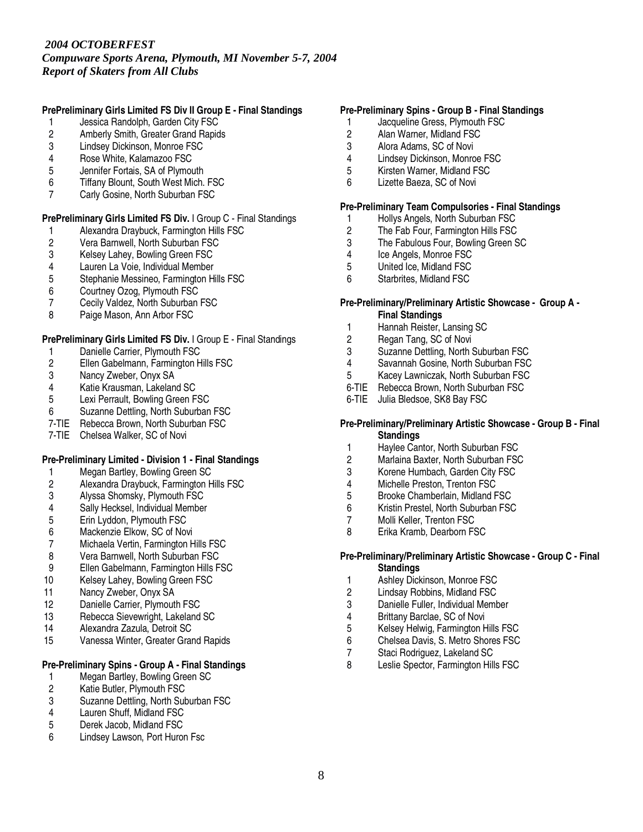*Compuware Sports Arena, Plymouth, MI November 5-7, 2004 Report of Skaters from All Clubs*

# **PrePreliminary Girls Limited FS Div II Group E - Final Standings**

- 1 Jessica Randolph, Garden City FSC
- 2 Amberly Smith, Greater Grand Rapids<br>3 Lindsev Dickinson. Monroe FSC
- Lindsey Dickinson, Monroe FSC
- 4 Rose White, Kalamazoo FSC
- 5 Jennifer Fortais, SA of Plymouth<br>6 Tiffany Blount, South West Mich.
- Tiffany Blount, South West Mich. FSC
- 7 Carly Gosine, North Suburban FSC

# **PrePreliminary Girls Limited FS Div.** I Group C - Final Standings

- 1 Alexandra Draybuck, Farmington Hills FSC<br>2 Vera Barnwell, North Suburban FSC
- 2 Vera Barnwell, North Suburban FSC<br>3 Kelsey Lahey, Bowling Green FSC
- 3 Kelsey Lahey, Bowling Green FSC<br>4 Lauren La Voie, Individual Member
- 4 Lauren La Voie, Individual Member<br>5 Stephanie Messineo, Farmington Hi
- 5 Stephanie Messineo, Farmington Hills FSC
- 6 Courtney Ozog, Plymouth FSC
- 7 Cecily Valdez, North Suburban FSC<br>8 Paige Mason. Ann Arbor FSC
- Paige Mason, Ann Arbor FSC

# **PrePreliminary Girls Limited FS Div.** I Group E - Final Standings

- 1 Danielle Carrier, Plymouth FSC<br>2 Ellen Gabelmann, Farmington H
- 2 Ellen Gabelmann, Farmington Hills FSC<br>3 Nancy Zweber, Onyx SA
- 3 Nancy Zweber, Onyx SA<br>4 Katie Krausman, Lakelan
- 4 Katie Krausman, Lakeland SC<br>5 Lexi Perrault, Bowling Green F
- Lexi Perrault, Bowling Green FSC
- 6 Suzanne Dettling, North Suburban FSC
- 7-TIE Rebecca Brown, North Suburban FSC
- 7-TIE Chelsea Walker, SC of Novi

# **Pre-Preliminary Limited - Division 1 - Final Standings**

- 1 Megan Bartley, Bowling Green SC
- 2 Alexandra Draybuck, Farmington Hills FSC
- 3 Alyssa Shomsky, Plymouth FSC<br>4 Sally Hecksel, Individual Member
- 4 Sally Hecksel, Individual Member<br>5 Erin Lyddon, Plymouth FSC
- 5 Erin Lyddon, Plymouth FSC<br>6 Mackenzie Elkow, SC of Nov
- 6 Mackenzie Elkow, SC of Novi<br>7 Michaela Vertin, Farmington H
- 7 Michaela Vertin, Farmington Hills FSC<br>8 Vera Barnwell. North Suburban FSC
- Vera Barnwell, North Suburban FSC
- 9 Ellen Gabelmann, Farmington Hills FSC
- 10 Kelsey Lahey, Bowling Green FSC
- 11 Nancy Zweber, Onyx SA
- 12 Danielle Carrier, Plymouth FSC
- 13 Rebecca Sievewright, Lakeland SC<br>14 Alexandra Zazula. Detroit SC
- Alexandra Zazula, Detroit SC
- 15 Vanessa Winter, Greater Grand Rapids

# **Pre-Preliminary Spins - Group A - Final Standings**

- 1 Megan Bartley, Bowling Green SC<br>2 Katie Butler, Plymouth FSC
- 2 Katie Butler, Plymouth FSC<br>3 Suzanne Dettling, North Sub
- 3 Suzanne Dettling, North Suburban FSC<br>4 Lauren Shuff. Midland FSC
- Lauren Shuff, Midland FSC
- 5 Derek Jacob, Midland FSC
- 6 Lindsey Lawson, Port Huron Fsc

# **Pre-Preliminary Spins - Group B - Final Standings**

- 1 Jacqueline Gress, Plymouth FSC
- 2 Alan Warner, Midland FSC<br>3 Alora Adams. SC of Novi
- Alora Adams, SC of Novi
- 4 Lindsey Dickinson, Monroe FSC
- 5 Kirsten Warner, Midland FSC<br>6 Lizette Baeza, SC of Novi
- 6 Lizette Baeza, SC of Novi

#### **Pre-Preliminary Team Compulsories - Final Standings**

- 1 Hollys Angels, North Suburban FSC
- 2 The Fab Four, Farmington Hills FSC<br>3 The Fabulous Four, Bowling Green S
- The Fabulous Four, Bowling Green SC
- 4 Ice Angels, Monroe FSC<br>5 United Ice. Midland FSC
- United Ice, Midland FSC
- 6 Starbrites, Midland FSC

#### **Pre-Preliminary/Preliminary Artistic Showcase - Group A - Final Standings**

- 1 Hannah Reister, Lansing SC
- 2 Regan Tang, SC of Novi
- 3 Suzanne Dettling, North Suburban FSC
- 4 Savannah Gosine, North Suburban FSC<br>5 Kacey Lawniczak, North Suburban FSC
- 5 Kacey Lawniczak, North Suburban FSC
- 6-TIE Rebecca Brown, North Suburban FSC
- 6-TIE Julia Bledsoe, SK8 Bay FSC

### **Pre-Preliminary/Preliminary Artistic Showcase - Group B - Final Standings**

- 1 Haylee Cantor, North Suburban FSC<br>2 Marlaina Baxter. North Suburban FSC
- Marlaina Baxter, North Suburban FSC
- 3 Korene Humbach, Garden City FSC
- 4 Michelle Preston, Trenton FSC
- 
- 5 Brooke Chamberlain, Midland FSC<br>6 Kristin Prestel. North Suburban FSC 6 Kristin Prestel, North Suburban FSC
- Molli Keller, Trenton FSC
- 8 Erika Kramb, Dearborn FSC

#### **Pre-Preliminary/Preliminary Artistic Showcase - Group C - Final Standings**

- 1 Ashley Dickinson, Monroe FSC<br>2 Lindsay Robbins, Midland FSC
- 2 Lindsay Robbins, Midland FSC
- 3 Danielle Fuller, Individual Member
- 4 Brittany Barclae, SC of Novi<br>5 Kelsev Helwig, Farmington H
- 5 Kelsey Helwig, Farmington Hills FSC<br>6 Chelsea Davis, S. Metro Shores FSC
- 6 Chelsea Davis, S. Metro Shores FSC
- 7 Staci Rodriguez, Lakeland SC<br>8 Leslie Spector. Farmington Hill
- Leslie Spector, Farmington Hills FSC